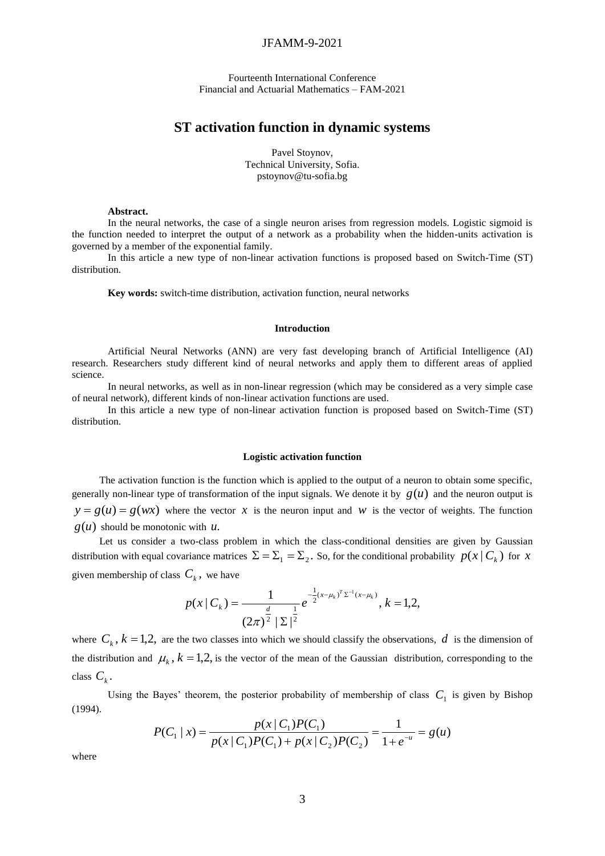# JFAMM-9-2021

Fourteenth International Conference Financial and Actuarial Mathematics – FAM-2021

# **ST activation function in dynamic systems**

Pavel Stoynov, Technical University, Sofia. [pstoynov@tu-sofia.bg](mailto:pstoynov@tu-sofia.bg)

## **Abstract.**

In the neural networks, the case of a single neuron arises from regression models. Logistic sigmoid is the function needed to interpret the output of a network as a probability when the hidden-units activation is governed by a member of the exponential family.

In this article a new type of non-linear activation functions is proposed based on Switch-Time (ST) distribution.

**Key words:** switch-time distribution, activation function, neural networks

# **Introduction**

Artificial Neural Networks (ANN) are very fast developing branch of Artificial Intelligence (AI) research. Researchers study different kind of neural networks and apply them to different areas of applied science.

In neural networks, as well as in non-linear regression (which may be considered as a very simple case of neural network), different kinds of non-linear activation functions are used.

In this article a new type of non-linear activation function is proposed based on Switch-Time (ST) distribution.

#### **Logistic activation function**

The activation function is the function which is applied to the output of a neuron to obtain some specific, generally non-linear type of transformation of the input signals. We denote it by  $g(u)$  and the neuron output is  $y = g(u) = g(wx)$  where the vector x is the neuron input and w is the vector of weights. The function  $g(u)$  should be monotonic with  $u$ .

Let us consider a two-class problem in which the class-conditional densities are given by Gaussian distribution with equal covariance matrices  $\Sigma = \Sigma_1 = \Sigma_2$ . So, for the conditional probability  $p(x | C_k)$  for x given membership of class  $C_k$ , we have

$$
p(x \mid C_{k}) = \frac{1}{(2\pi)^{\frac{d}{2}} | \Sigma |^{\frac{1}{2}}} e^{-\frac{1}{2}(x - \mu_{k})^{T} \Sigma^{-1} (x - \mu_{k})}, k = 1, 2,
$$

where  $C_k$ ,  $k = 1,2$ , are the two classes into which we should classify the observations, d is the dimension of the distribution and  $\mu_k$ ,  $k = 1,2$ , is the vector of the mean of the Gaussian distribution, corresponding to the class  $C_k$ .

Using the Bayes' theorem, the posterior probability of membership of class  $C_1$  is given by Bishop (1994).

$$
P(C_1 \mid x) = \frac{p(x \mid C_1)P(C_1)}{p(x \mid C_1)P(C_1) + p(x \mid C_2)P(C_2)} = \frac{1}{1 + e^{-u}} = g(u)
$$

where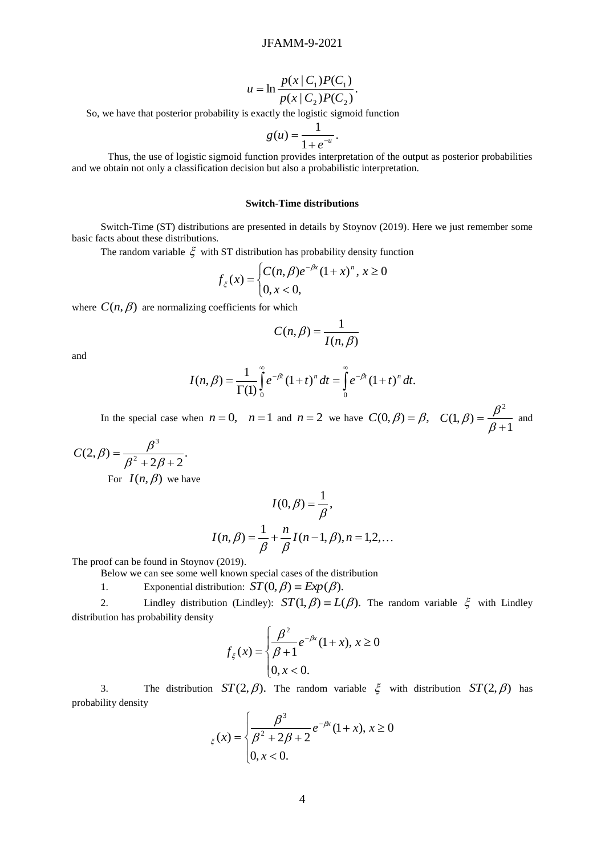$$
u = \ln \frac{p(x \mid C_1)P(C_1)}{p(x \mid C_2)P(C_2)}.
$$

So, we have that posterior probability is exactly the logistic sigmoid function

$$
g(u)=\frac{1}{1+e^{-u}}.
$$

Thus, the use of logistic sigmoid function provides interpretation of the output as posterior probabilities and we obtain not only a classification decision but also a probabilistic interpretation.

## **Switch-Time distributions**

Switch-Time (ST) distributions are presented in details by Stoynov (2019). Here we just remember some basic facts about these distributions.

The random variable  $\xi$  with ST distribution has probability density function

$$
f_{\xi}(x) = \begin{cases} C(n, \beta)e^{-\beta x} (1+x)^n, \, x \ge 0\\ 0, \, x < 0, \end{cases}
$$

where  $C(n, \beta)$  are normalizing coefficients for which

$$
C(n,\beta) = \frac{1}{I(n,\beta)}
$$

and

$$
I(n,\beta) = \frac{1}{\Gamma(1)} \int_{0}^{\infty} e^{-\beta t} (1+t)^{n} dt = \int_{0}^{\infty} e^{-\beta t} (1+t)^{n} dt.
$$

In the special case when  $n = 0$ ,  $n = 1$  and  $n = 2$  we have  $C(0, \beta) = \beta$ , 1  $(1, \beta)$ 2  $\overline{+}$  $=$  $_{\beta}$  $C(1,\beta) = \frac{\beta^2}{\beta}$  and

$$
C(2,\beta) = \frac{\beta^3}{\beta^2 + 2\beta + 2}.
$$

For  $I(n, \beta)$  we have

$$
I(0, \beta) = \frac{1}{\beta},
$$
  

$$
I(n, \beta) = \frac{1}{\beta} + \frac{n}{\beta} I(n-1, \beta), n = 1, 2, ...
$$

The proof can be found in Stoynov (2019).

Below we can see some well known special cases of the distribution

1. Exponential distribution:  $ST(0, \beta) \equiv Exp(\beta)$ .

2. Lindley distribution (Lindley):  $ST(1, \beta) = L(\beta)$ . The random variable  $\xi$  with Lindley distribution has probability density

$$
f_{\xi}(x) = \begin{cases} \frac{\beta^2}{\beta + 1} e^{-\beta x} (1 + x), & x \ge 0 \\ 0, & x < 0. \end{cases}
$$

3. The distribution  $ST(2, \beta)$ . The random variable  $\xi$  with distribution  $ST(2, \beta)$  has probability density

$$
\xi(x) = \begin{cases} \frac{\beta^3}{\beta^2 + 2\beta + 2} e^{-\beta x} (1+x), & x \ge 0 \\ 0, & x < 0. \end{cases}
$$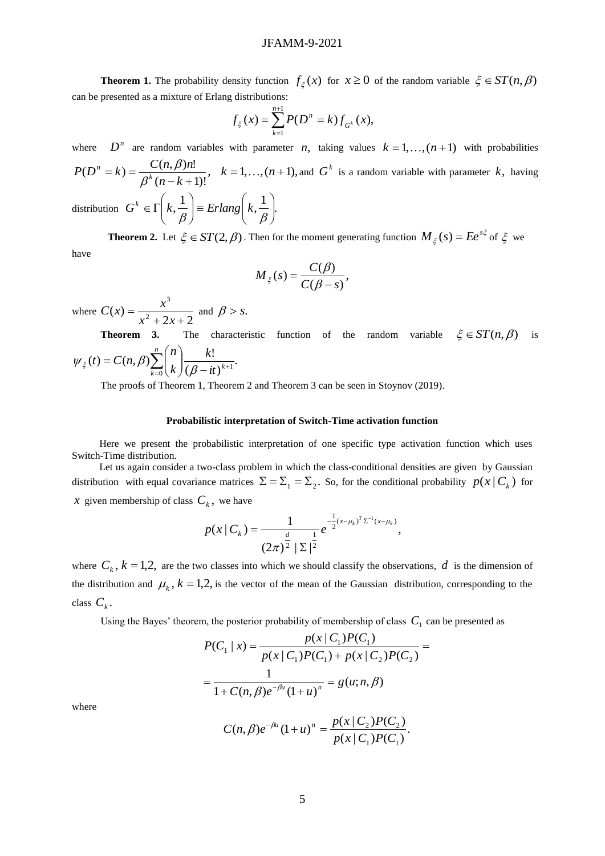**Theorem 1.** The probability density function  $f_{\xi}(x)$  for  $x \ge 0$  of the random variable  $\xi \in ST(n, \beta)$ can be presented as a mixture of Erlang distributions:

$$
f_{\xi}(x) = \sum_{k=1}^{n+1} P(D^n = k) f_{G^k}(x),
$$

where  $D^n$  are random variables with parameter *n*, taking values  $k = 1, ..., (n + 1)$  with probabilities

,  $(n - k + 1)!$  $(D^n = k) = \frac{C(n, \beta)n!}{(D-1)^k}$  $-k +$  $= k$ ) =  $n - k$  $P(D^n = k) = \frac{C(n, \beta)n}{\beta^k (n - k)}$ *n*  $_{\beta}$  $\frac{\beta}{h}$ .<br> *k* = 1,...,(*n*+1), and  $G^k$  is a random variable with parameter k, having

distribution  $G^k \in \Gamma\left(k, \frac{1}{\beta}\right) \equiv Erlang\left(k, \frac{1}{\beta}\right)$ . J  $\setminus$  $\overline{\phantom{a}}$  $\setminus$  $\vert$  = Erlang $\vert$ J  $\setminus$  $\overline{\phantom{a}}$  $\setminus$  $\in \Gamma$  $\beta$   $\beta$  $G^k \in \Gamma \mid k, \frac{1}{\epsilon} \mid \equiv Erlang \mid k$ 

**Theorem 2.** Let  $\xi \in ST(2,\beta)$ . Then for the moment generating function  $M_{\xi}(s) = Ee^{s\xi}$  $M_{\xi}(s) = Ee^{s\xi}$  of  $\xi$  we have

$$
M_{\xi}(s) = \frac{C(\beta)}{C(\beta - s)},
$$

where  $C(x) = \frac{x^2 + 2x + 2}{x^2 + 2x + 2}$  $f(x) = \frac{1}{x^2}$ 3  $+2x+$  $=$  $x^2 + 2x$  $C(x) = \frac{x^3}{x^3}$  and  $\beta > s$ .

**Theorem 3.** The characteristic function of the random variable  $\xi \in ST(n, \beta)$  is .  $(\beta - it)$  $(t) = C(n, \beta) \sum_{n=1}^n {n \choose n} \frac{k!}{n!}$  $\sum_{k=0}^{\infty} {n \choose k} \frac{k!}{(\beta - it)^{k+1}}$ J  $\setminus$  $\overline{\phantom{a}}$  $\setminus$  $=C(n,\beta)\sum_{n=0}^n\right|$  $\sum_{k=0}^{l} (k)(\beta - it)^k$ *k k n*  $t$   $=$   $C(n)$  $\psi_{\xi}(t) = C(n, \beta) \sum_{k=0}^{\infty} \left( \frac{1}{k} \right) \frac{1}{(\beta)}$ 

The proofs of Theorem 1, Theorem 2 and Theorem 3 can be seen in Stoynov (2019).

## **Probabilistic interpretation of Switch-Time activation function**

Here we present the probabilistic interpretation of one specific type activation function which uses Switch-Time distribution.

Let us again consider a two-class problem in which the class-conditional densities are given by Gaussian distribution with equal covariance matrices  $\Sigma = \Sigma_1 = \Sigma_2$ . So, for the conditional probability  $p(x | C_k)$  for *x* given membership of class  $C_k$ , we have

$$
p(x | C_k) = \frac{1}{(2\pi)^{\frac{d}{2}} |\Sigma|^{\frac{1}{2}}} e^{-\frac{1}{2}(x - \mu_k)^T \Sigma^{-1} (x - \mu_k)},
$$

where  $C_k$ ,  $k = 1,2$ , are the two classes into which we should classify the observations, d is the dimension of the distribution and  $\mu_k$ ,  $k = 1,2$ , is the vector of the mean of the Gaussian distribution, corresponding to the class  $C_k$ .

Using the Bayes' theorem, the posterior probability of membership of class  $C_1$  can be presented as

$$
P(C_1 | x) = \frac{p(x | C_1)P(C_1)}{p(x | C_1)P(C_1) + p(x | C_2)P(C_2)} = \frac{1}{1 + C(n, \beta)e^{-\beta u}(1 + u)^n} = g(u; n, \beta)
$$

where

$$
C(n,\beta)e^{-\beta u}(1+u)^n = \frac{p(x \mid C_2)P(C_2)}{p(x \mid C_1)P(C_1)}.
$$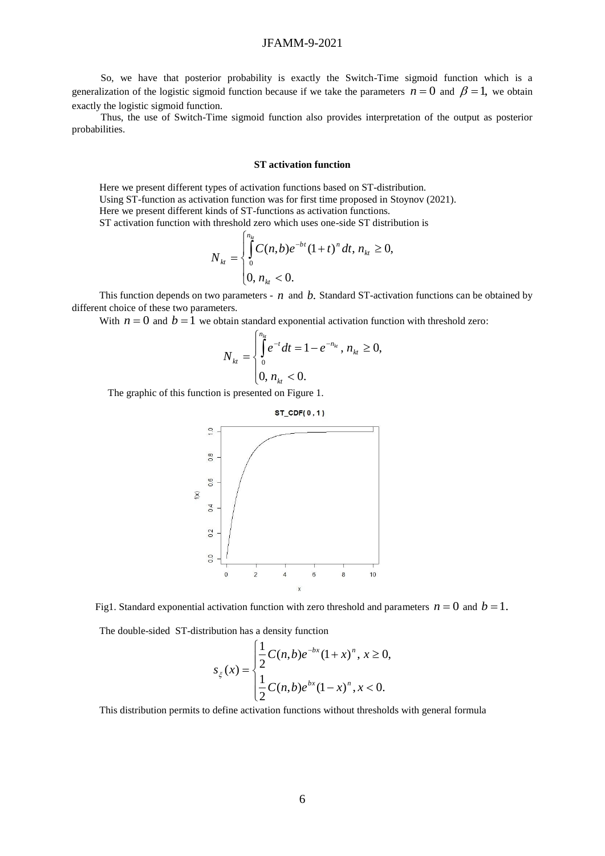# JFAMM-9-2021

So, we have that posterior probability is exactly the Switch-Time sigmoid function which is a generalization of the logistic sigmoid function because if we take the parameters  $n = 0$  and  $\beta = 1$ , we obtain exactly the logistic sigmoid function.

Thus, the use of Switch-Time sigmoid function also provides interpretation of the output as posterior probabilities.

## **ST activation function**

Here we present different types of activation functions based on ST-distribution. Using ST-function as activation function was for first time proposed in Stoynov (2021). Here we present different kinds of ST-functions as activation functions.

ST activation function with threshold zero which uses one-side ST distribution is

$$
N_{_{kt}} = \begin{cases} \int_{0}^{n_{k}} C(n,b)e^{-bt}(1+t)^{n} dt, n_{_{kt}} \geq 0, \\ 0, n_{_{kt}} < 0. \end{cases}
$$

This function depends on two parameters -  $n$  and  $b$ . Standard ST-activation functions can be obtained by different choice of these two parameters.

With  $n = 0$  and  $b = 1$  we obtain standard exponential activation function with threshold zero:

$$
N_{kt} = \begin{cases} \int_{0}^{n_{kt}} e^{-t} dt = 1 - e^{-n_{kt}}, \, n_{kt} \ge 0, \\ 0, \, n_{kt} < 0. \end{cases}
$$

The graphic of this function is presented on Figure 1.



Fig1. Standard exponential activation function with zero threshold and parameters  $n = 0$  and  $b = 1$ .

The double-sided ST-distribution has a density function

$$
s_{\xi}(x) = \begin{cases} \frac{1}{2}C(n,b)e^{-bx}(1+x)^n, \ x \ge 0, \\ \frac{1}{2}C(n,b)e^{bx}(1-x)^n, \ x < 0. \end{cases}
$$

This distribution permits to define activation functions without thresholds with general formula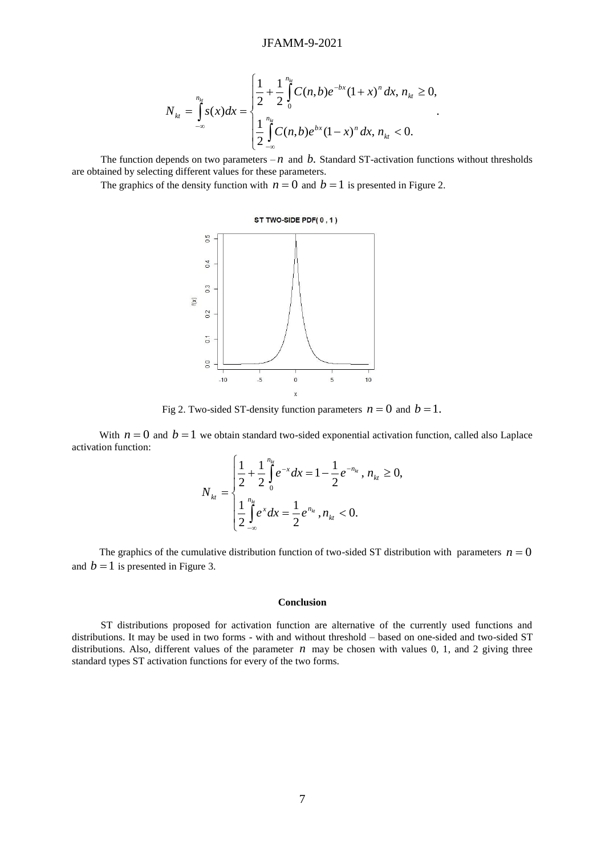$$
N_{_{k}=\int\limits_{-\infty}^{n_{k}}s(x)dx=\begin{cases} \frac{1}{2}+\frac{1}{2}\int\limits_{0}^{n_{k}}C(n,b)e^{-bx}(1+x)^{n}dx, n_{_{k}t}\geq0, \\ \frac{1}{2}\int\limits_{-\infty}^{n_{k}}C(n,b)e^{bx}(1-x)^{n}dx, n_{_{k}t}<0. \end{cases}
$$

.

The function depends on two parameters  $-n$  and  $b$ . Standard ST-activation functions without thresholds are obtained by selecting different values for these parameters.

The graphics of the density function with  $n = 0$  and  $b = 1$  is presented in Figure 2.



Fig 2. Two-sided ST-density function parameters  $n = 0$  and  $b = 1$ .

With  $n = 0$  and  $b = 1$  we obtain standard two-sided exponential activation function, called also Laplace activation function:

$$
N_{_{kt}} = \begin{cases} \frac{1}{2} + \frac{1}{2} \int_{0}^{n_{k}} e^{-x} dx = 1 - \frac{1}{2} e^{-n_{k}}, \, n_{_{kt}} \ge 0, \\ \frac{1}{2} \int_{-\infty}^{n_{k}} e^{x} dx = \frac{1}{2} e^{n_{_{kt}}} \, , n_{_{kt}} < 0. \end{cases}
$$

The graphics of the cumulative distribution function of two-sided ST distribution with parameters  $n = 0$ and  $b = 1$  is presented in Figure 3.

#### **Conclusion**

ST distributions proposed for activation function are alternative of the currently used functions and distributions. It may be used in two forms - with and without threshold – based on one-sided and two-sided ST distributions. Also, different values of the parameter  $n$  may be chosen with values 0, 1, and 2 giving three standard types ST activation functions for every of the two forms.